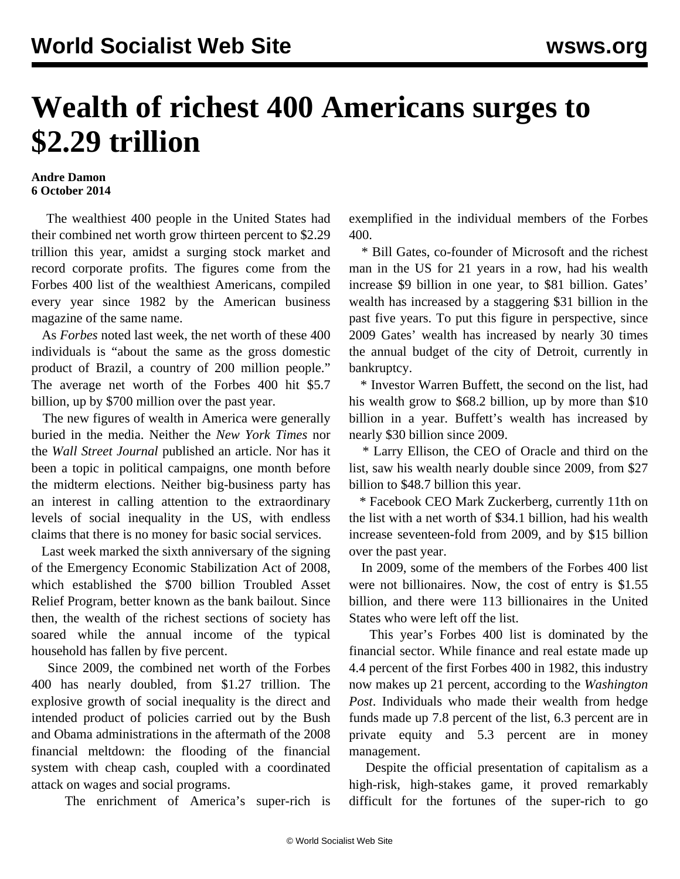## **Wealth of richest 400 Americans surges to \$2.29 trillion**

## **Andre Damon 6 October 2014**

 The wealthiest 400 people in the United States had their combined net worth grow thirteen percent to \$2.29 trillion this year, amidst a surging stock market and record corporate profits. The figures come from the Forbes 400 list of the wealthiest Americans, compiled every year since 1982 by the American business magazine of the same name.

 As *Forbes* noted last week, the net worth of these 400 individuals is "about the same as the gross domestic product of Brazil, a country of 200 million people." The average net worth of the Forbes 400 hit \$5.7 billion, up by \$700 million over the past year.

 The new figures of wealth in America were generally buried in the media. Neither the *New York Times* nor the *Wall Street Journal* published an article. Nor has it been a topic in political campaigns, one month before the midterm elections. Neither big-business party has an interest in calling attention to the extraordinary levels of social inequality in the US, with endless claims that there is no money for basic social services.

 Last week marked the sixth anniversary of the signing of the Emergency Economic Stabilization Act of 2008, which established the \$700 billion Troubled Asset Relief Program, better known as the bank bailout. Since then, the wealth of the richest sections of society has soared while the annual income of the typical household has fallen by five percent.

 Since 2009, the combined net worth of the Forbes 400 has nearly doubled, from \$1.27 trillion. The explosive growth of social inequality is the direct and intended product of policies carried out by the Bush and Obama administrations in the aftermath of the 2008 financial meltdown: the flooding of the financial system with cheap cash, coupled with a coordinated attack on wages and social programs.

The enrichment of America's super-rich is

exemplified in the individual members of the Forbes 400.

 \* Bill Gates, co-founder of Microsoft and the richest man in the US for 21 years in a row, had his wealth increase \$9 billion in one year, to \$81 billion. Gates' wealth has increased by a staggering \$31 billion in the past five years. To put this figure in perspective, since 2009 Gates' wealth has increased by nearly 30 times the annual budget of the city of Detroit, currently in bankruptcy.

 \* Investor Warren Buffett, the second on the list, had his wealth grow to \$68.2 billion, up by more than \$10 billion in a year. Buffett's wealth has increased by nearly \$30 billion since 2009.

 \* Larry Ellison, the CEO of Oracle and third on the list, saw his wealth nearly double since 2009, from \$27 billion to \$48.7 billion this year.

 \* Facebook CEO Mark Zuckerberg, currently 11th on the list with a net worth of \$34.1 billion, had his wealth increase seventeen-fold from 2009, and by \$15 billion over the past year.

 In 2009, some of the members of the Forbes 400 list were not billionaires. Now, the cost of entry is \$1.55 billion, and there were 113 billionaires in the United States who were left off the list.

 This year's Forbes 400 list is dominated by the financial sector. While finance and real estate made up 4.4 percent of the first Forbes 400 in 1982, this industry now makes up 21 percent, according to the *Washington Post*. Individuals who made their wealth from hedge funds made up 7.8 percent of the list, 6.3 percent are in private equity and 5.3 percent are in money management.

 Despite the official presentation of capitalism as a high-risk, high-stakes game, it proved remarkably difficult for the fortunes of the super-rich to go